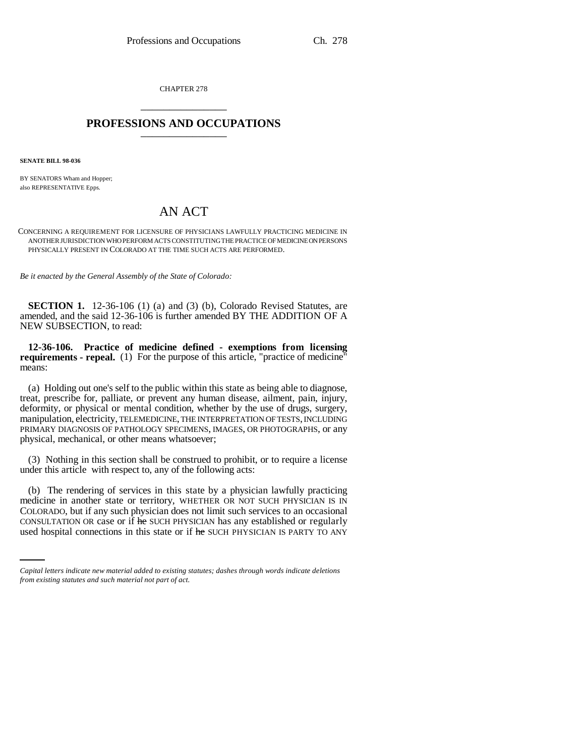CHAPTER 278 \_\_\_\_\_\_\_\_\_\_\_\_\_\_\_

## **PROFESSIONS AND OCCUPATIONS** \_\_\_\_\_\_\_\_\_\_\_\_\_\_\_

**SENATE BILL 98-036**

BY SENATORS Wham and Hopper; also REPRESENTATIVE Epps.

## AN ACT

CONCERNING A REQUIREMENT FOR LICENSURE OF PHYSICIANS LAWFULLY PRACTICING MEDICINE IN ANOTHER JURISDICTION WHO PERFORM ACTS CONSTITUTING THE PRACTICE OF MEDICINE ON PERSONS PHYSICALLY PRESENT IN COLORADO AT THE TIME SUCH ACTS ARE PERFORMED.

*Be it enacted by the General Assembly of the State of Colorado:*

**SECTION 1.** 12-36-106 (1) (a) and (3) (b), Colorado Revised Statutes, are amended, and the said 12-36-106 is further amended BY THE ADDITION OF A NEW SUBSECTION, to read:

**12-36-106. Practice of medicine defined - exemptions from licensing requirements - repeal.** (1) For the purpose of this article, "practice of medicine" means:

(a) Holding out one's self to the public within this state as being able to diagnose, treat, prescribe for, palliate, or prevent any human disease, ailment, pain, injury, deformity, or physical or mental condition, whether by the use of drugs, surgery, manipulation, electricity, TELEMEDICINE, THE INTERPRETATION OF TESTS, INCLUDING PRIMARY DIAGNOSIS OF PATHOLOGY SPECIMENS, IMAGES, OR PHOTOGRAPHS, or any physical, mechanical, or other means whatsoever;

(3) Nothing in this section shall be construed to prohibit, or to require a license under this article with respect to, any of the following acts:

COLORADO, but if any such physician does not limit such services to an occasional (b) The rendering of services in this state by a physician lawfully practicing medicine in another state or territory, WHETHER OR NOT SUCH PHYSICIAN IS IN CONSULTATION OR case or if he SUCH PHYSICIAN has any established or regularly used hospital connections in this state or if he SUCH PHYSICIAN IS PARTY TO ANY

*Capital letters indicate new material added to existing statutes; dashes through words indicate deletions from existing statutes and such material not part of act.*